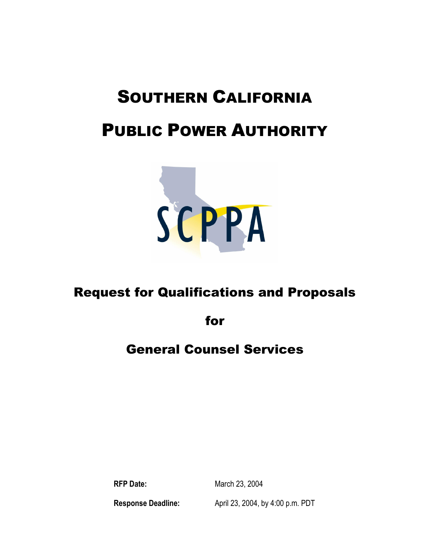# SOUTHERN CALIFORNIA

## PUBLIC POWER AUTHORITY



### Request for Qualifications and Proposals

for

### General Counsel Services

**RFP Date:** March 23, 2004

**Response Deadline:** April 23, 2004, by 4:00 p.m. PDT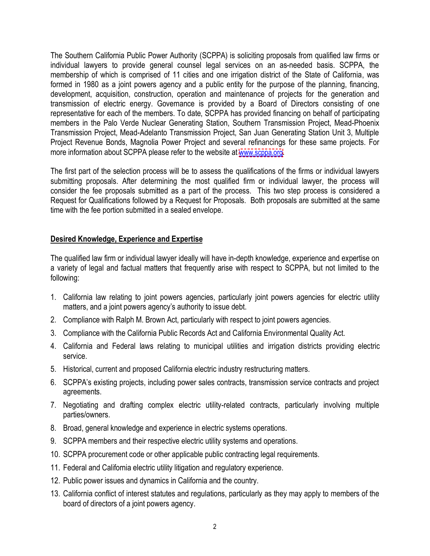The Southern California Public Power Authority (SCPPA) is soliciting proposals from qualified law firms or individual lawyers to provide general counsel legal services on an as-needed basis. SCPPA, the membership of which is comprised of 11 cities and one irrigation district of the State of California, was formed in 1980 as a joint powers agency and a public entity for the purpose of the planning, financing, development, acquisition, construction, operation and maintenance of projects for the generation and transmission of electric energy. Governance is provided by a Board of Directors consisting of one representative for each of the members. To date, SCPPA has provided financing on behalf of participating members in the Palo Verde Nuclear Generating Station, Southern Transmission Project, Mead-Phoenix Transmission Project, Mead-Adelanto Transmission Project, San Juan Generating Station Unit 3, Multiple Project Revenue Bonds, Magnolia Power Project and several refinancings for these same projects. For more information about SCPPA please refer to the website at <www.scppa.org>.

The first part of the selection process will be to assess the qualifications of the firms or individual lawyers submitting proposals. After determining the most qualified firm or individual lawyer, the process will consider the fee proposals submitted as a part of the process. This two step process is considered a Request for Qualifications followed by a Request for Proposals. Both proposals are submitted at the same time with the fee portion submitted in a sealed envelope.

#### **Desired Knowledge, Experience and Expertise**

The qualified law firm or individual lawyer ideally will have in-depth knowledge, experience and expertise on a variety of legal and factual matters that frequently arise with respect to SCPPA, but not limited to the following:

- 1. California law relating to joint powers agencies, particularly joint powers agencies for electric utility matters, and a joint powers agency's authority to issue debt.
- 2. Compliance with Ralph M. Brown Act, particularly with respect to joint powers agencies.
- 3. Compliance with the California Public Records Act and California Environmental Quality Act.
- 4. California and Federal laws relating to municipal utilities and irrigation districts providing electric service.
- 5. Historical, current and proposed California electric industry restructuring matters.
- 6. SCPPA's existing projects, including power sales contracts, transmission service contracts and project agreements.
- 7. Negotiating and drafting complex electric utility-related contracts, particularly involving multiple parties/owners.
- 8. Broad, general knowledge and experience in electric systems operations.
- 9. SCPPA members and their respective electric utility systems and operations.
- 10. SCPPA procurement code or other applicable public contracting legal requirements.
- 11. Federal and California electric utility litigation and regulatory experience.
- 12. Public power issues and dynamics in California and the country.
- 13. California conflict of interest statutes and regulations, particularly as they may apply to members of the board of directors of a joint powers agency.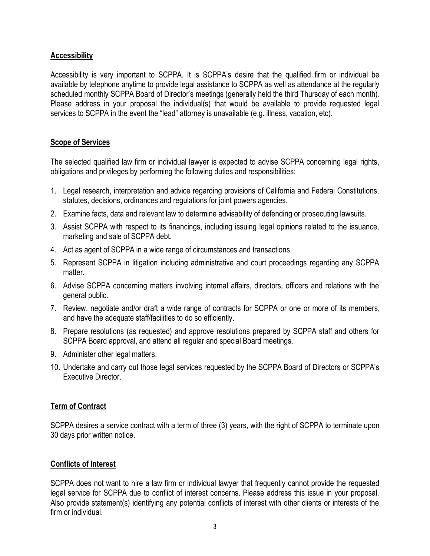#### **Accessibility**

Accessibility is very important to SCPPA. It is SCPPA's desire that the qualified firm or individual be available by telephone anytime to provide legal assistance to SCPPA as well as attendance at the regularly scheduled monthly SCPPA Board of Director's meetings (generally held the third Thursday of each month). Please address in your proposal the individual(s) that would be available to provide requested legal services to SCPPA in the event the "lead" attorney is unavailable (e.g. illness, vacation, etc).

#### **Scope of Services**

The selected qualified law firm or individual lawyer is expected to advise SCPPA concerning legal rights, obligations and privileges by performing the following duties and responsibilities:

- 1. Legal research, interpretation and advice regarding provisions of California and Federal Constitutions, statutes, decisions, ordinances and regulations for joint powers agencies.
- 2. Examine facts, data and relevant law to determine advisability of defending or prosecuting lawsuits.
- 3. Assist SCPPA with respect to its financings, including issuing legal opinions related to the issuance, marketing and sale of SCPPA debt.
- 4. Act as agent of SCPPA in a wide range of circumstances and transactions.
- 5. Represent SCPPA in litigation including administrative and court proceedings regarding any SCPPA matter.
- 6. Advise SCPPA concerning matters involving internal affairs, directors, officers and relations with the general public.
- 7. Review, negotiate and/or draft a wide range of contracts for SCPPA or one or more of its members, and have the adequate staff/facilities to do so efficiently.
- 8. Prepare resolutions (as requested) and approve resolutions prepared by SCPPA staff and others for SCPPA Board approval, and attend all regular and special Board meetings.
- 9. Administer other legal matters.
- 10. Undertake and carry out those legal services requested by the SCPPA Board of Directors or SCPPA's Executive Director.

#### **Term of Contract**

SCPPA desires a service contract with a term of three (3) years, with the right of SCPPA to terminate upon 30 days prior written notice.

#### **Conflicts of Interest**

SCPPA does not want to hire a law firm or individual lawyer that frequently cannot provide the requested legal service for SCPPA due to conflict of interest concerns. Please address this issue in your proposal. Also provide statement(s) identifying any potential conflicts of interest with other clients or interests of the firm or individual.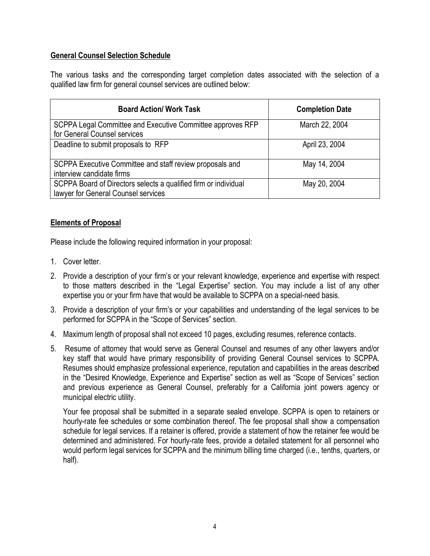#### **General Counsel Selection Schedule**

The various tasks and the corresponding target completion dates associated with the selection of a qualified law firm for general counsel services are outlined below:

| <b>Board Action/ Work Task</b>                                                                         | <b>Completion Date</b> |
|--------------------------------------------------------------------------------------------------------|------------------------|
| SCPPA Legal Committee and Executive Committee approves RFP<br>for General Counsel services             | March 22, 2004         |
| Deadline to submit proposals to RFP                                                                    | April 23, 2004         |
| SCPPA Executive Committee and staff review proposals and<br>interview candidate firms                  | May 14, 2004           |
| SCPPA Board of Directors selects a qualified firm or individual<br>lawyer for General Counsel services | May 20, 2004           |

#### **Elements of Proposal**

Please include the following required information in your proposal:

- 1. Cover letter.
- 2. Provide a description of your firm's or your relevant knowledge, experience and expertise with respect to those matters described in the "Legal Expertise" section. You may include a list of any other expertise you or your firm have that would be available to SCPPA on a special-need basis.
- 3. Provide a description of your firm's or your capabilities and understanding of the legal services to be performed for SCPPA in the "Scope of Services" section.
- 4. Maximum length of proposal shall not exceed 10 pages, excluding resumes, reference contacts.
- 5. Resume of attorney that would serve as General Counsel and resumes of any other lawyers and/or key staff that would have primary responsibility of providing General Counsel services to SCPPA. Resumes should emphasize professional experience, reputation and capabilities in the areas described in the "Desired Knowledge, Experience and Expertise" section as well as "Scope of Services" section and previous experience as General Counsel, preferably for a California joint powers agency or municipal electric utility.

Your fee proposal shall be submitted in a separate sealed envelope. SCPPA is open to retainers or hourly-rate fee schedules or some combination thereof. The fee proposal shall show a compensation schedule for legal services. If a retainer is offered, provide a statement of how the retainer fee would be determined and administered. For hourly-rate fees, provide a detailed statement for all personnel who would perform legal services for SCPPA and the minimum billing time charged (i.e., tenths, quarters, or half).